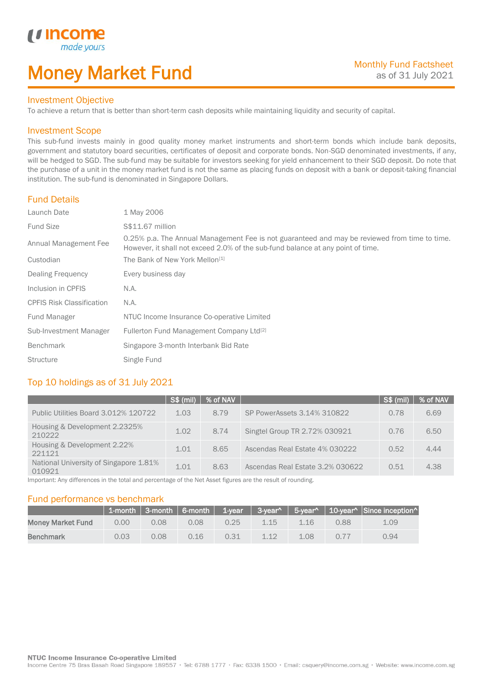# Money Market Fund

#### Investment Objective

made<sub>y</sub>

*u* incon

I

To achieve a return that is better than short-term cash deposits while maintaining liquidity and security of capital.

#### Investment Scope

This sub-fund invests mainly in good quality money market instruments and short-term bonds which include bank deposits, government and statutory board securities, certificates of deposit and corporate bonds. Non-SGD denominated investments, if any, will be hedged to SGD. The sub-fund may be suitable for investors seeking for yield enhancement to their SGD deposit. Do note that the purchase of a unit in the money market fund is not the same as placing funds on deposit with a bank or deposit-taking financial institution. The sub-fund is denominated in Singapore Dollars.

#### Fund Details

| Launch Date                      | 1 May 2006                                                                                                                                                                       |
|----------------------------------|----------------------------------------------------------------------------------------------------------------------------------------------------------------------------------|
| <b>Fund Size</b>                 | S\$11.67 million                                                                                                                                                                 |
| Annual Management Fee            | 0.25% p.a. The Annual Management Fee is not guaranteed and may be reviewed from time to time.<br>However, it shall not exceed 2.0% of the sub-fund balance at any point of time. |
| Custodian                        | The Bank of New York Mellon <sup>[1]</sup>                                                                                                                                       |
| Dealing Frequency                | Every business day                                                                                                                                                               |
| Inclusion in CPFIS               | N.A.                                                                                                                                                                             |
| <b>CPFIS Risk Classification</b> | N.A.                                                                                                                                                                             |
| Fund Manager                     | NTUC Income Insurance Co-operative Limited                                                                                                                                       |
| Sub-Investment Manager           | Fullerton Fund Management Company Ltd <sup>[2]</sup>                                                                                                                             |
| <b>Benchmark</b>                 | Singapore 3-month Interbank Bid Rate                                                                                                                                             |
| <b>Structure</b>                 | Single Fund                                                                                                                                                                      |

## Top 10 holdings as of 31 July 2021

|                                                  | S\$ (mil) | $\sqrt{8}$ of NAV $\sqrt{2}$ |                                  | S\$ (mil) | % of NAV |
|--------------------------------------------------|-----------|------------------------------|----------------------------------|-----------|----------|
| Public Utilities Board 3.012% 120722             | 1.03      | 8.79                         | SP PowerAssets 3.14% 310822      | 0.78      | 6.69     |
| Housing & Development 2.2325%<br>210222          | 1.02      | 8.74                         | Singtel Group TR 2.72% 030921    | 0.76      | 6.50     |
| Housing & Development 2.22%<br>221121            | 1.01      | 8.65                         | Ascendas Real Estate 4% 030222   | 0.52      | 4.44     |
| National University of Singapore 1.81%<br>010921 | 1.01      | 8.63                         | Ascendas Real Estate 3.2% 030622 | 0.51      | 4.38     |

Important: Any differences in the total and percentage of the Net Asset figures are the result of rounding.

#### Fund performance vs benchmark

|                          |      |      |      |      |      |      |      | 1-month 3-month 6-month 1-year 3-year^ 5-year^ 10-year^ Since inception |
|--------------------------|------|------|------|------|------|------|------|-------------------------------------------------------------------------|
| <b>Money Market Fund</b> | 0.00 | 0.08 | 0.08 | 0.25 | 1.15 | 1.16 | 0.88 | 1.09                                                                    |
| <b>Benchmark</b>         | 0.03 | 0.08 | 0.16 | 0.31 | 1.12 | 1.08 | 0.77 | 0.94                                                                    |